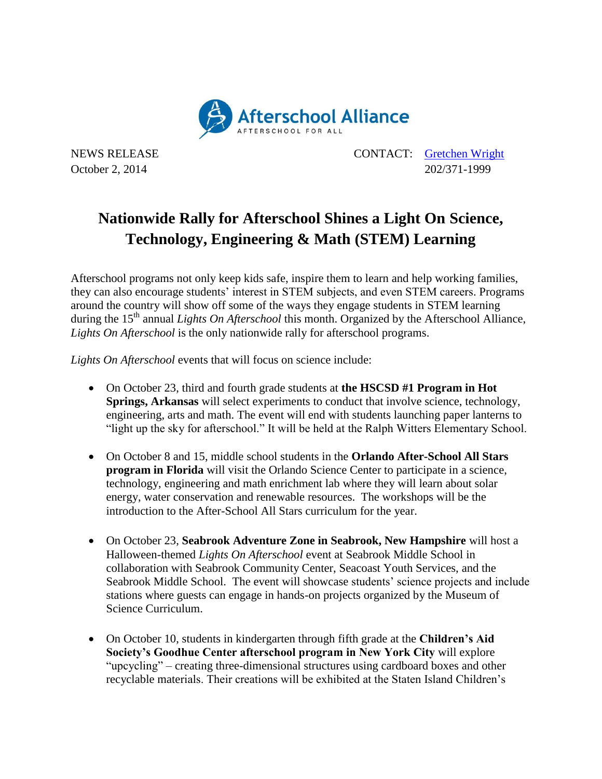

NEWS RELEASE CONTACT: [Gretchen Wright](mailto:gretchen@prsolutionsdc.com) October 2, 2014 202/371-1999

## **Nationwide Rally for Afterschool Shines a Light On Science, Technology, Engineering & Math (STEM) Learning**

Afterschool programs not only keep kids safe, inspire them to learn and help working families, they can also encourage students' interest in STEM subjects, and even STEM careers. Programs around the country will show off some of the ways they engage students in STEM learning during the 15<sup>th</sup> annual *Lights On Afterschool* this month. Organized by the Afterschool Alliance, *Lights On Afterschool* is the only nationwide rally for afterschool programs.

*Lights On Afterschool* events that will focus on science include:

- On October 23, third and fourth grade students at **the HSCSD #1 Program in Hot Springs, Arkansas** will select experiments to conduct that involve science, technology, engineering, arts and math. The event will end with students launching paper lanterns to "light up the sky for afterschool." It will be held at the Ralph Witters Elementary School.
- On October 8 and 15, middle school students in the **Orlando After-School All Stars program in Florida** will visit the Orlando Science Center to participate in a science, technology, engineering and math enrichment lab where they will learn about solar energy, water conservation and renewable resources. The workshops will be the introduction to the After-School All Stars curriculum for the year.
- On October 23, **Seabrook Adventure Zone in Seabrook, New Hampshire** will host a Halloween-themed *Lights On Afterschool* event at Seabrook Middle School in collaboration with Seabrook Community Center, Seacoast Youth Services, and the Seabrook Middle School. The event will showcase students' science projects and include stations where guests can engage in hands-on projects organized by the Museum of Science Curriculum.
- On October 10, students in kindergarten through fifth grade at the **Children's Aid Society's Goodhue Center afterschool program in New York City** will explore "upcycling" – creating three-dimensional structures using cardboard boxes and other recyclable materials. Their creations will be exhibited at the Staten Island Children's